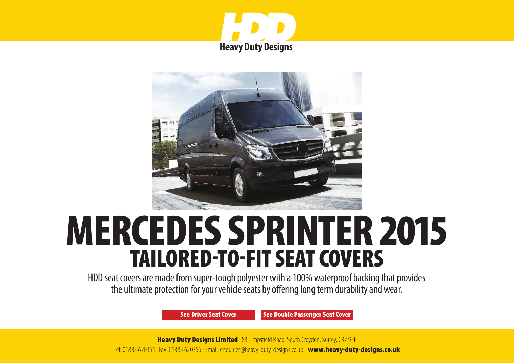



# MERCEDES SPRINTER 2015 TAILORED-TO-FIT SEAT COVERS

HDD seat covers are made from super-tough polyester with a 100% waterproof backing that provides the ultimate protection for your vehicle seats by offering long term durability and wear.

[See Driver Seat Cover](#page-1-0) [See Double Passenger Seat Cover](#page-2-0)

**Heavy Duty Designs Limited** 88 Limpsfield Road, South Croydon, Surrey, CR2 9EE Tel: 01883 620351 Fax: 01883 620356 Email: enquiries@heavy-duty-designs.co.uk [www.heavy-duty-designs.co.uk](http://www.heavy-duty-designs.co.uk)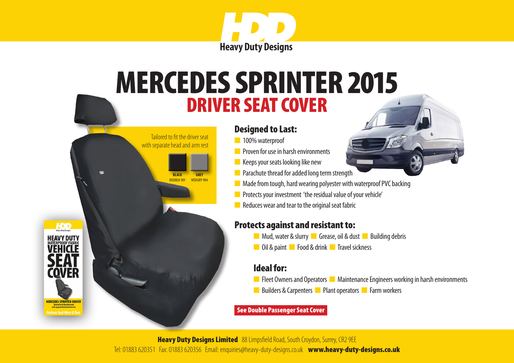

# <span id="page-1-0"></span>DRIVER SEAT COVER MERCEDES SPRINTER 2015



n 100% waterproof

 Tailored to fit the driver seat with separate head and arm rest

> **BLACK** MSDBLK-901

**HDD** 

rover

**MERCEDES SPRINTER DRIVER** 

**GREY** MSDGRY-904

- **n** Proven for use in harsh environments
- $\blacksquare$  Keeps your seats looking like new
- **n** Parachute thread for added long term strength
- $\blacksquare$  Made from tough, hard wearing polyester with waterproof PVC backing
- **n** Protects your investment 'the residual value of your vehicle'
- $\blacksquare$  Reduces wear and tear to the original seat fabric

# Protects against and resistant to:

- **n** Mud, water & slurry **n** Grease, oil & dust **n** Building debris
- **n** Oil & paint **n** Food & drink **n** Travel sickness

# Ideal for:

- **n** Fleet Owners and Operators **n** Maintenance Engineers working in harsh environments
- n Builders & Carpenters **n** Plant operators **n** Farm workers

#### [See Double Passenger Seat Cover](#page-2-0)

**Heavy Duty Designs Limited** 88 Limpsfield Road, South Croydon, Surrey, CR2 9EE Tel: 01883 620351 Fax: 01883 620356 Email: enquiries@heavy-duty-designs.co.uk [www.heavy-duty-designs.co.uk](http://www.heavy-duty-designs.co.uk)